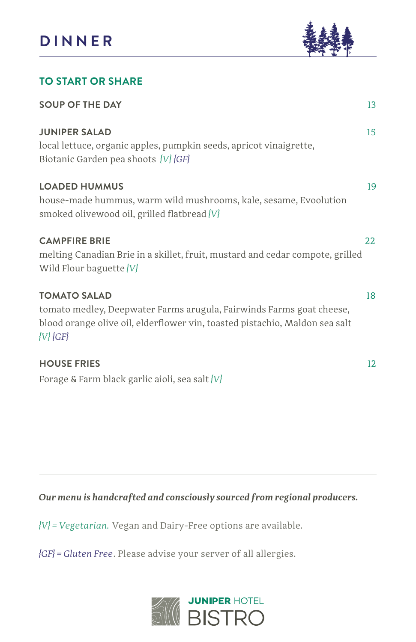

### **TO START OR SHARE**

| <b>SOUP OF THE DAY</b>                                                                                                                                                                         | 13 |
|------------------------------------------------------------------------------------------------------------------------------------------------------------------------------------------------|----|
| <b>JUNIPER SALAD</b><br>local lettuce, organic apples, pumpkin seeds, apricot vinaigrette,<br>Biotanic Garden pea shoots {V}{GF}                                                               | 15 |
| <b>LOADED HUMMUS</b><br>house-made hummus, warm wild mushrooms, kale, sesame, Evoolution<br>smoked olivewood oil, grilled flatbread {V}                                                        | 19 |
| <b>CAMPFIRE BRIE</b><br>melting Canadian Brie in a skillet, fruit, mustard and cedar compote, grilled<br>Wild Flour baguette {V}                                                               | 22 |
| <b>TOMATO SALAD</b><br>tomato medley, Deepwater Farms arugula, Fairwinds Farms goat cheese,<br>blood orange olive oil, elderflower vin, toasted pistachio, Maldon sea salt<br>$\{V\}$ $\{GF\}$ | 18 |
| <b>HOUSE FRIES</b><br>Forage & Farm black garlic aioli, sea salt {V}                                                                                                                           | 12 |

*Our menu is handcrafted and consciously sourced from regional producers.* 

*{V} = Vegetarian.* Vegan and Dairy-Free options are available.

*{GF} = Gluten Free*. Please advise your server of all allergies.

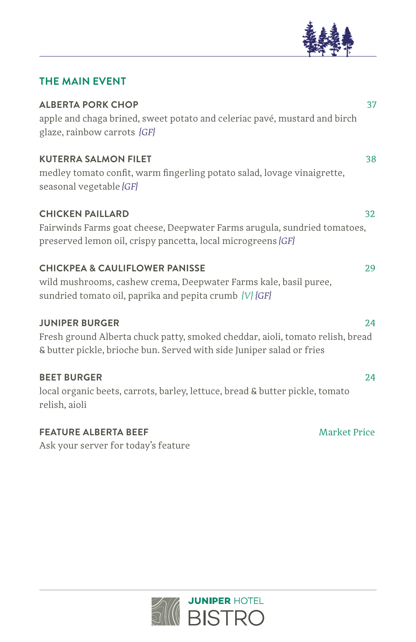

### **THE MAIN EVENT**

| <b>ALBERTA PORK CHOP</b><br>apple and chaga brined, sweet potato and celeriac pavé, mustard and birch<br>glaze, rainbow carrots {GF}                                            | 37  |
|---------------------------------------------------------------------------------------------------------------------------------------------------------------------------------|-----|
| <b>KUTERRA SALMON FILET</b><br>medley tomato confit, warm fingerling potato salad, lovage vinaigrette,<br>seasonal vegetable {GF}                                               | 38  |
| <b>CHICKEN PAILLARD</b><br>Fairwinds Farms goat cheese, Deepwater Farms arugula, sundried tomatoes,<br>preserved lemon oil, crispy pancetta, local microgreens {GF}             | 32  |
| <b>CHICKPEA &amp; CAULIFLOWER PANISSE</b><br>wild mushrooms, cashew crema, Deepwater Farms kale, basil puree,<br>sundried tomato oil, paprika and pepita crumb {V}{GF}          | 29  |
| <b>JUNIPER BURGER</b><br>Fresh ground Alberta chuck patty, smoked cheddar, aioli, tomato relish, bread<br>& butter pickle, brioche bun. Served with side Juniper salad or fries | 2.4 |
| <b>BEET BURGER</b><br>local organic beets, carrots, barley, lettuce, bread & butter pickle, tomato<br>relish, aioli                                                             | 2.4 |

## **FEATURE ALBERTA BEEF** Market Price

Ask your server for today's feature